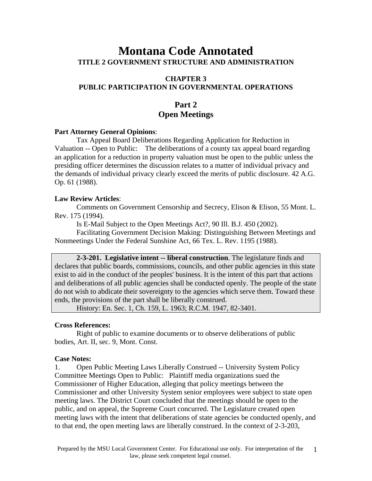# **Montana Code Annotated TITLE 2 GOVERNMENT STRUCTURE AND ADMINISTRATION**

### **CHAPTER 3 PUBLIC PARTICIPATION IN GOVERNMENTAL OPERATIONS**

## **Part 2 Open Meetings**

#### **Part Attorney General Opinions**:

Tax Appeal Board Deliberations Regarding Application for Reduction in Valuation -- Open to Public: The deliberations of a county tax appeal board regarding an application for a reduction in property valuation must be open to the public unless the presiding officer determines the discussion relates to a matter of individual privacy and the demands of individual privacy clearly exceed the merits of public disclosure. 42 A.G. Op. 61 (1988).

### **Law Review Articles**:

Comments on Government Censorship and Secrecy, Elison & Elison, 55 Mont. L. Rev. 175 (1994).

Is E-Mail Subject to the Open Meetings Act?, 90 Ill. B.J. 450 (2002).

Facilitating Government Decision Making: Distinguishing Between Meetings and Nonmeetings Under the Federal Sunshine Act, 66 Tex. L. Rev. 1195 (1988).

**2-3-201. Legislative intent -- liberal construction**. The legislature finds and declares that public boards, commissions, councils, and other public agencies in this state exist to aid in the conduct of the peoples' business. It is the intent of this part that actions and deliberations of all public agencies shall be conducted openly. The people of the state do not wish to abdicate their sovereignty to the agencies which serve them. Toward these ends, the provisions of the part shall be liberally construed.

History: En. Sec. 1, Ch. 159, L. 1963; R.C.M. 1947, 82-3401.

#### **Cross References:**

Right of public to examine documents or to observe deliberations of public bodies, Art. II, sec. 9, Mont. Const.

#### **Case Notes:**

1. Open Public Meeting Laws Liberally Construed -- University System Policy Committee Meetings Open to Public: Plaintiff media organizations sued the Commissioner of Higher Education, alleging that policy meetings between the Commissioner and other University System senior employees were subject to state open meeting laws. The District Court concluded that the meetings should be open to the public, and on appeal, the Supreme Court concurred. The Legislature created open meeting laws with the intent that deliberations of state agencies be conducted openly, and to that end, the open meeting laws are liberally construed. In the context of 2-3-203,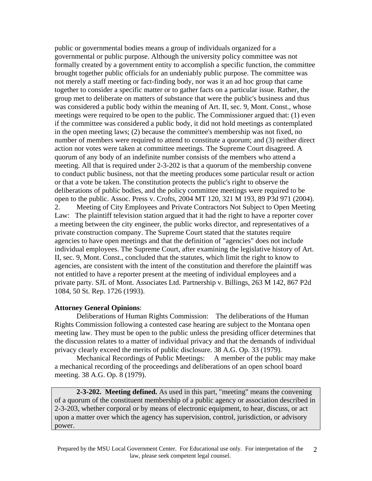public or governmental bodies means a group of individuals organized for a governmental or public purpose. Although the university policy committee was not formally created by a government entity to accomplish a specific function, the committee brought together public officials for an undeniably public purpose. The committee was not merely a staff meeting or fact-finding body, nor was it an ad hoc group that came together to consider a specific matter or to gather facts on a particular issue. Rather, the group met to deliberate on matters of substance that were the public's business and thus was considered a public body within the meaning of Art. II, sec. 9, Mont. Const., whose meetings were required to be open to the public. The Commissioner argued that: (1) even if the committee was considered a public body, it did not hold meetings as contemplated in the open meeting laws; (2) because the committee's membership was not fixed, no number of members were required to attend to constitute a quorum; and (3) neither direct action nor votes were taken at committee meetings. The Supreme Court disagreed. A quorum of any body of an indefinite number consists of the members who attend a meeting. All that is required under 2-3-202 is that a quorum of the membership convene to conduct public business, not that the meeting produces some particular result or action or that a vote be taken. The constitution protects the public's right to observe the deliberations of public bodies, and the policy committee meetings were required to be open to the public. Assoc. Press v. Crofts, 2004 MT 120, 321 M 193, 89 P3d 971 (2004). 2. Meeting of City Employees and Private Contractors Not Subject to Open Meeting

Law: The plaintiff television station argued that it had the right to have a reporter cover a meeting between the city engineer, the public works director, and representatives of a private construction company. The Supreme Court stated that the statutes require agencies to have open meetings and that the definition of "agencies" does not include individual employees. The Supreme Court, after examining the legislative history of Art. II, sec. 9, Mont. Const., concluded that the statutes, which limit the right to know to agencies, are consistent with the intent of the constitution and therefore the plaintiff was not entitled to have a reporter present at the meeting of individual employees and a private party. SJL of Mont. Associates Ltd. Partnership v. Billings, 263 M 142, 867 P2d 1084, 50 St. Rep. 1726 (1993).

### **Attorney General Opinions**:

Deliberations of Human Rights Commission: The deliberations of the Human Rights Commission following a contested case hearing are subject to the Montana open meeting law. They must be open to the public unless the presiding officer determines that the discussion relates to a matter of individual privacy and that the demands of individual privacy clearly exceed the merits of public disclosure. 38 A.G. Op. 33 (1979).

Mechanical Recordings of Public Meetings: A member of the public may make a mechanical recording of the proceedings and deliberations of an open school board meeting. 38 A.G. Op. 8 (1979).

**2-3-202. Meeting defined.** As used in this part, "meeting" means the convening of a quorum of the constituent membership of a public agency or association described in 2-3-203, whether corporal or by means of electronic equipment, to hear, discuss, or act upon a matter over which the agency has supervision, control, jurisdiction, or advisory power.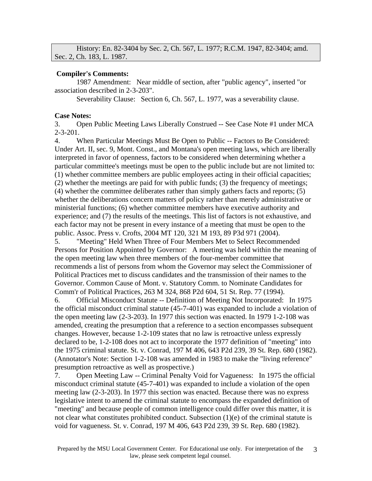|                           |  |  |  | History: En. 82-3404 by Sec. 2, Ch. 567, L. 1977; R.C.M. 1947, 82-3404; amd. |  |  |
|---------------------------|--|--|--|------------------------------------------------------------------------------|--|--|
| Sec. 2, Ch. 183, L. 1987. |  |  |  |                                                                              |  |  |

### **Compiler's Comments:**

1987 Amendment: Near middle of section, after "public agency", inserted "or association described in 2-3-203".

Severability Clause: Section 6, Ch. 567, L. 1977, was a severability clause.

### **Case Notes:**

3. Open Public Meeting Laws Liberally Construed -- See Case Note #1 under MCA 2-3-201.

4. When Particular Meetings Must Be Open to Public -- Factors to Be Considered: Under Art. II, sec. 9, Mont. Const., and Montana's open meeting laws, which are liberally interpreted in favor of openness, factors to be considered when determining whether a particular committee's meetings must be open to the public include but are not limited to: (1) whether committee members are public employees acting in their official capacities; (2) whether the meetings are paid for with public funds; (3) the frequency of meetings; (4) whether the committee deliberates rather than simply gathers facts and reports; (5) whether the deliberations concern matters of policy rather than merely administrative or ministerial functions; (6) whether committee members have executive authority and experience; and (7) the results of the meetings. This list of factors is not exhaustive, and each factor may not be present in every instance of a meeting that must be open to the public. Assoc. Press v. Crofts, 2004 MT 120, 321 M 193, 89 P3d 971 (2004).

5. "Meeting" Held When Three of Four Members Met to Select Recommended Persons for Position Appointed by Governor: A meeting was held within the meaning of the open meeting law when three members of the four-member committee that recommends a list of persons from whom the Governor may select the Commissioner of Political Practices met to discuss candidates and the transmission of their names to the Governor. Common Cause of Mont. v. Statutory Comm. to Nominate Candidates for Comm'r of Political Practices, 263 M 324, 868 P2d 604, 51 St. Rep. 77 (1994).

6. Official Misconduct Statute -- Definition of Meeting Not Incorporated: In 1975 the official misconduct criminal statute (45-7-401) was expanded to include a violation of the open meeting law (2-3-203). In 1977 this section was enacted. In 1979 1-2-108 was amended, creating the presumption that a reference to a section encompasses subsequent changes. However, because 1-2-109 states that no law is retroactive unless expressly declared to be, 1-2-108 does not act to incorporate the 1977 definition of "meeting" into the 1975 criminal statute. St. v. Conrad, 197 M 406, 643 P2d 239, 39 St. Rep. 680 (1982). (Annotator's Note: Section 1-2-108 was amended in 1983 to make the "living reference" presumption retroactive as well as prospective.)

7. Open Meeting Law -- Criminal Penalty Void for Vagueness: In 1975 the official misconduct criminal statute (45-7-401) was expanded to include a violation of the open meeting law (2-3-203). In 1977 this section was enacted. Because there was no express legislative intent to amend the criminal statute to encompass the expanded definition of "meeting" and because people of common intelligence could differ over this matter, it is not clear what constitutes prohibited conduct. Subsection (1)(e) of the criminal statute is void for vagueness. St. v. Conrad, 197 M 406, 643 P2d 239, 39 St. Rep. 680 (1982).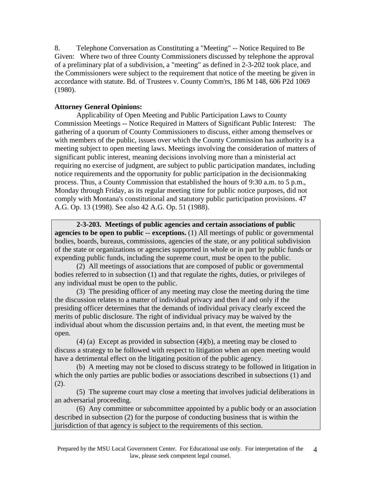8. Telephone Conversation as Constituting a "Meeting" -- Notice Required to Be Given: Where two of three County Commissioners discussed by telephone the approval of a preliminary plat of a subdivision, a "meeting" as defined in 2-3-202 took place, and the Commissioners were subject to the requirement that notice of the meeting be given in accordance with statute. Bd. of Trustees v. County Comm'rs, 186 M 148, 606 P2d 1069 (1980).

### **Attorney General Opinions:**

Applicability of Open Meeting and Public Participation Laws to County Commission Meetings -- Notice Required in Matters of Significant Public Interest: The gathering of a quorum of County Commissioners to discuss, either among themselves or with members of the public, issues over which the County Commission has authority is a meeting subject to open meeting laws. Meetings involving the consideration of matters of significant public interest, meaning decisions involving more than a ministerial act requiring no exercise of judgment, are subject to public participation mandates, including notice requirements and the opportunity for public participation in the decisionmaking process. Thus, a County Commission that established the hours of 9:30 a.m. to 5 p.m., Monday through Friday, as its regular meeting time for public notice purposes, did not comply with Montana's constitutional and statutory public participation provisions. 47 A.G. Op. 13 (1998). See also 42 A.G. Op. 51 (1988).

**2-3-203. Meetings of public agencies and certain associations of public agencies to be open to public -- exceptions.** (1) All meetings of public or governmental bodies, boards, bureaus, commissions, agencies of the state, or any political subdivision of the state or organizations or agencies supported in whole or in part by public funds or expending public funds, including the supreme court, must be open to the public.

(2) All meetings of associations that are composed of public or governmental bodies referred to in subsection (1) and that regulate the rights, duties, or privileges of any individual must be open to the public.

(3) The presiding officer of any meeting may close the meeting during the time the discussion relates to a matter of individual privacy and then if and only if the presiding officer determines that the demands of individual privacy clearly exceed the merits of public disclosure. The right of individual privacy may be waived by the individual about whom the discussion pertains and, in that event, the meeting must be open.

(4) (a) Except as provided in subsection (4)(b), a meeting may be closed to discuss a strategy to be followed with respect to litigation when an open meeting would have a detrimental effect on the litigating position of the public agency.

(b) A meeting may not be closed to discuss strategy to be followed in litigation in which the only parties are public bodies or associations described in subsections (1) and (2).

(5) The supreme court may close a meeting that involves judicial deliberations in an adversarial proceeding.

(6) Any committee or subcommittee appointed by a public body or an association described in subsection (2) for the purpose of conducting business that is within the jurisdiction of that agency is subject to the requirements of this section.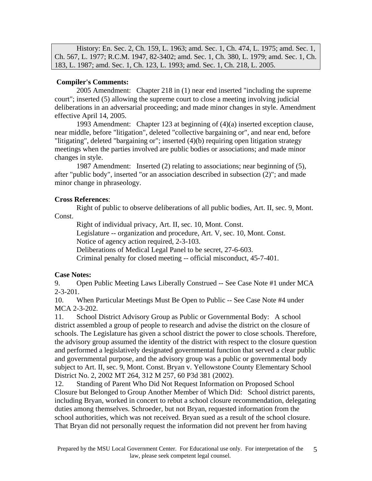History: En. Sec. 2, Ch. 159, L. 1963; amd. Sec. 1, Ch. 474, L. 1975; amd. Sec. 1, Ch. 567, L. 1977; R.C.M. 1947, 82-3402; amd. Sec. 1, Ch. 380, L. 1979; amd. Sec. 1, Ch. 183, L. 1987; amd. Sec. 1, Ch. 123, L. 1993; amd. Sec. 1, Ch. 218, L. 2005.

### **Compiler's Comments:**

2005 Amendment: Chapter 218 in (1) near end inserted "including the supreme court"; inserted (5) allowing the supreme court to close a meeting involving judicial deliberations in an adversarial proceeding; and made minor changes in style. Amendment effective April 14, 2005.

1993 Amendment: Chapter 123 at beginning of (4)(a) inserted exception clause, near middle, before "litigation", deleted "collective bargaining or", and near end, before "litigating", deleted "bargaining or"; inserted (4)(b) requiring open litigation strategy meetings when the parties involved are public bodies or associations; and made minor changes in style.

1987 Amendment: Inserted (2) relating to associations; near beginning of (5), after "public body", inserted "or an association described in subsection (2)"; and made minor change in phraseology.

### **Cross References**:

Right of public to observe deliberations of all public bodies, Art. II, sec. 9, Mont. Const.

Right of individual privacy, Art. II, sec. 10, Mont. Const. Legislature -- organization and procedure, Art. V, sec. 10, Mont. Const. Notice of agency action required, 2-3-103. Deliberations of Medical Legal Panel to be secret, 27-6-603.

Criminal penalty for closed meeting -- official misconduct, 45-7-401.

### **Case Notes:**

9. Open Public Meeting Laws Liberally Construed -- See Case Note #1 under MCA 2-3-201.

10. When Particular Meetings Must Be Open to Public -- See Case Note #4 under MCA 2-3-202.

11. School District Advisory Group as Public or Governmental Body: A school district assembled a group of people to research and advise the district on the closure of schools. The Legislature has given a school district the power to close schools. Therefore, the advisory group assumed the identity of the district with respect to the closure question and performed a legislatively designated governmental function that served a clear public and governmental purpose, and the advisory group was a public or governmental body subject to Art. II, sec. 9, Mont. Const. Bryan v. Yellowstone County Elementary School District No. 2, 2002 MT 264, 312 M 257, 60 P3d 381 (2002).

12. Standing of Parent Who Did Not Request Information on Proposed School Closure but Belonged to Group Another Member of Which Did: School district parents, including Bryan, worked in concert to rebut a school closure recommendation, delegating duties among themselves. Schroeder, but not Bryan, requested information from the school authorities, which was not received. Bryan sued as a result of the school closure. That Bryan did not personally request the information did not prevent her from having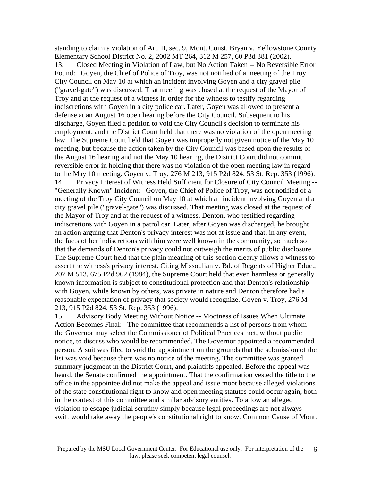standing to claim a violation of Art. II, sec. 9, Mont. Const. Bryan v. Yellowstone County Elementary School District No. 2, 2002 MT 264, 312 M 257, 60 P3d 381 (2002). 13. Closed Meeting in Violation of Law, but No Action Taken -- No Reversible Error Found: Goyen, the Chief of Police of Troy, was not notified of a meeting of the Troy City Council on May 10 at which an incident involving Goyen and a city gravel pile ("gravel-gate") was discussed. That meeting was closed at the request of the Mayor of Troy and at the request of a witness in order for the witness to testify regarding indiscretions with Goyen in a city police car. Later, Goyen was allowed to present a defense at an August 16 open hearing before the City Council. Subsequent to his discharge, Goyen filed a petition to void the City Council's decision to terminate his employment, and the District Court held that there was no violation of the open meeting law. The Supreme Court held that Goyen was improperly not given notice of the May 10 meeting, but because the action taken by the City Council was based upon the results of the August 16 hearing and not the May 10 hearing, the District Court did not commit reversible error in holding that there was no violation of the open meeting law in regard to the May 10 meeting. Goyen v. Troy, 276 M 213, 915 P2d 824, 53 St. Rep. 353 (1996). 14. Privacy Interest of Witness Held Sufficient for Closure of City Council Meeting -- "Generally Known" Incident: Goyen, the Chief of Police of Troy, was not notified of a meeting of the Troy City Council on May 10 at which an incident involving Goyen and a city gravel pile ("gravel-gate") was discussed. That meeting was closed at the request of the Mayor of Troy and at the request of a witness, Denton, who testified regarding indiscretions with Goyen in a patrol car. Later, after Goyen was discharged, he brought an action arguing that Denton's privacy interest was not at issue and that, in any event, the facts of her indiscretions with him were well known in the community, so much so that the demands of Denton's privacy could not outweigh the merits of public disclosure. The Supreme Court held that the plain meaning of this section clearly allows a witness to assert the witness's privacy interest. Citing Missoulian v. Bd. of Regents of Higher Educ., 207 M 513, 675 P2d 962 (1984), the Supreme Court held that even harmless or generally known information is subject to constitutional protection and that Denton's relationship with Goyen, while known by others, was private in nature and Denton therefore had a reasonable expectation of privacy that society would recognize. Goyen v. Troy, 276 M 213, 915 P2d 824, 53 St. Rep. 353 (1996).

15. Advisory Body Meeting Without Notice -- Mootness of Issues When Ultimate Action Becomes Final: The committee that recommends a list of persons from whom the Governor may select the Commissioner of Political Practices met, without public notice, to discuss who would be recommended. The Governor appointed a recommended person. A suit was filed to void the appointment on the grounds that the submission of the list was void because there was no notice of the meeting. The committee was granted summary judgment in the District Court, and plaintiffs appealed. Before the appeal was heard, the Senate confirmed the appointment. That the confirmation vested the title to the office in the appointee did not make the appeal and issue moot because alleged violations of the state constitutional right to know and open meeting statutes could occur again, both in the context of this committee and similar advisory entities. To allow an alleged violation to escape judicial scrutiny simply because legal proceedings are not always swift would take away the people's constitutional right to know. Common Cause of Mont.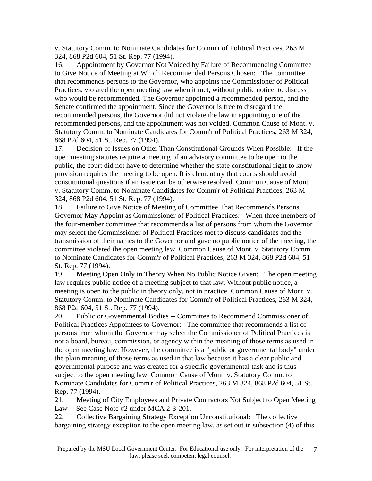v. Statutory Comm. to Nominate Candidates for Comm'r of Political Practices, 263 M 324, 868 P2d 604, 51 St. Rep. 77 (1994).

16. Appointment by Governor Not Voided by Failure of Recommending Committee to Give Notice of Meeting at Which Recommended Persons Chosen: The committee that recommends persons to the Governor, who appoints the Commissioner of Political Practices, violated the open meeting law when it met, without public notice, to discuss who would be recommended. The Governor appointed a recommended person, and the Senate confirmed the appointment. Since the Governor is free to disregard the recommended persons, the Governor did not violate the law in appointing one of the recommended persons, and the appointment was not voided. Common Cause of Mont. v. Statutory Comm. to Nominate Candidates for Comm'r of Political Practices, 263 M 324, 868 P2d 604, 51 St. Rep. 77 (1994).

17. Decision of Issues on Other Than Constitutional Grounds When Possible: If the open meeting statutes require a meeting of an advisory committee to be open to the public, the court did not have to determine whether the state constitutional right to know provision requires the meeting to be open. It is elementary that courts should avoid constitutional questions if an issue can be otherwise resolved. Common Cause of Mont. v. Statutory Comm. to Nominate Candidates for Comm'r of Political Practices, 263 M 324, 868 P2d 604, 51 St. Rep. 77 (1994).

18. Failure to Give Notice of Meeting of Committee That Recommends Persons Governor May Appoint as Commissioner of Political Practices: When three members of the four-member committee that recommends a list of persons from whom the Governor may select the Commissioner of Political Practices met to discuss candidates and the transmission of their names to the Governor and gave no public notice of the meeting, the committee violated the open meeting law. Common Cause of Mont. v. Statutory Comm. to Nominate Candidates for Comm'r of Political Practices, 263 M 324, 868 P2d 604, 51 St. Rep. 77 (1994).

19. Meeting Open Only in Theory When No Public Notice Given: The open meeting law requires public notice of a meeting subject to that law. Without public notice, a meeting is open to the public in theory only, not in practice. Common Cause of Mont. v. Statutory Comm. to Nominate Candidates for Comm'r of Political Practices, 263 M 324, 868 P2d 604, 51 St. Rep. 77 (1994).

20. Public or Governmental Bodies -- Committee to Recommend Commissioner of Political Practices Appointees to Governor: The committee that recommends a list of persons from whom the Governor may select the Commissioner of Political Practices is not a board, bureau, commission, or agency within the meaning of those terms as used in the open meeting law. However, the committee is a "public or governmental body" under the plain meaning of those terms as used in that law because it has a clear public and governmental purpose and was created for a specific governmental task and is thus subject to the open meeting law. Common Cause of Mont. v. Statutory Comm. to Nominate Candidates for Comm'r of Political Practices, 263 M 324, 868 P2d 604, 51 St. Rep. 77 (1994).

21. Meeting of City Employees and Private Contractors Not Subject to Open Meeting Law -- See Case Note #2 under MCA 2-3-201.

22. Collective Bargaining Strategy Exception Unconstitutional: The collective bargaining strategy exception to the open meeting law, as set out in subsection (4) of this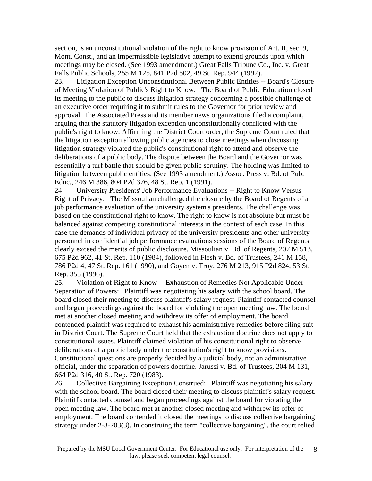section, is an unconstitutional violation of the right to know provision of Art. II, sec. 9, Mont. Const., and an impermissible legislative attempt to extend grounds upon which meetings may be closed. (See 1993 amendment.) Great Falls Tribune Co., Inc. v. Great Falls Public Schools, 255 M 125, 841 P2d 502, 49 St. Rep. 944 (1992).

23. Litigation Exception Unconstitutional Between Public Entities -- Board's Closure of Meeting Violation of Public's Right to Know: The Board of Public Education closed its meeting to the public to discuss litigation strategy concerning a possible challenge of an executive order requiring it to submit rules to the Governor for prior review and approval. The Associated Press and its member news organizations filed a complaint, arguing that the statutory litigation exception unconstitutionally conflicted with the public's right to know. Affirming the District Court order, the Supreme Court ruled that the litigation exception allowing public agencies to close meetings when discussing litigation strategy violated the public's constitutional right to attend and observe the deliberations of a public body. The dispute between the Board and the Governor was essentially a turf battle that should be given public scrutiny. The holding was limited to litigation between public entities. (See 1993 amendment.) Assoc. Press v. Bd. of Pub. Educ., 246 M 386, 804 P2d 376, 48 St. Rep. 1 (1991).

24 University Presidents' Job Performance Evaluations -- Right to Know Versus Right of Privacy: The Missoulian challenged the closure by the Board of Regents of a job performance evaluation of the university system's presidents. The challenge was based on the constitutional right to know. The right to know is not absolute but must be balanced against competing constitutional interests in the context of each case. In this case the demands of individual privacy of the university presidents and other university personnel in confidential job performance evaluations sessions of the Board of Regents clearly exceed the merits of public disclosure. Missoulian v. Bd. of Regents, 207 M 513, 675 P2d 962, 41 St. Rep. 110 (1984), followed in Flesh v. Bd. of Trustees, 241 M 158, 786 P2d 4, 47 St. Rep. 161 (1990), and Goyen v. Troy, 276 M 213, 915 P2d 824, 53 St. Rep. 353 (1996).

25. Violation of Right to Know -- Exhaustion of Remedies Not Applicable Under Separation of Powers: Plaintiff was negotiating his salary with the school board. The board closed their meeting to discuss plaintiff's salary request. Plaintiff contacted counsel and began proceedings against the board for violating the open meeting law. The board met at another closed meeting and withdrew its offer of employment. The board contended plaintiff was required to exhaust his administrative remedies before filing suit in District Court. The Supreme Court held that the exhaustion doctrine does not apply to constitutional issues. Plaintiff claimed violation of his constitutional right to observe deliberations of a public body under the constitution's right to know provisions. Constitutional questions are properly decided by a judicial body, not an administrative official, under the separation of powers doctrine. Jarussi v. Bd. of Trustees, 204 M 131, 664 P2d 316, 40 St. Rep. 720 (1983).

26. Collective Bargaining Exception Construed: Plaintiff was negotiating his salary with the school board. The board closed their meeting to discuss plaintiff's salary request. Plaintiff contacted counsel and began proceedings against the board for violating the open meeting law. The board met at another closed meeting and withdrew its offer of employment. The board contended it closed the meetings to discuss collective bargaining strategy under 2-3-203(3). In construing the term "collective bargaining", the court relied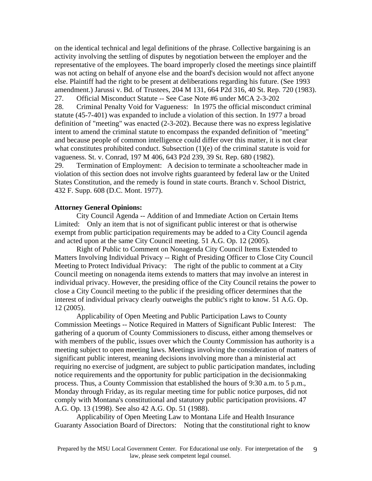on the identical technical and legal definitions of the phrase. Collective bargaining is an activity involving the settling of disputes by negotiation between the employer and the representative of the employees. The board improperly closed the meetings since plaintiff was not acting on behalf of anyone else and the board's decision would not affect anyone else. Plaintiff had the right to be present at deliberations regarding his future. (See 1993 amendment.) Jarussi v. Bd. of Trustees, 204 M 131, 664 P2d 316, 40 St. Rep. 720 (1983). 27. Official Misconduct Statute -- See Case Note #6 under MCA 2-3-202

28. Criminal Penalty Void for Vagueness: In 1975 the official misconduct criminal statute (45-7-401) was expanded to include a violation of this section. In 1977 a broad definition of "meeting" was enacted (2-3-202). Because there was no express legislative intent to amend the criminal statute to encompass the expanded definition of "meeting" and because people of common intelligence could differ over this matter, it is not clear what constitutes prohibited conduct. Subsection  $(1)(e)$  of the criminal statute is void for vagueness. St. v. Conrad, 197 M 406, 643 P2d 239, 39 St. Rep. 680 (1982). 29. Termination of Employment: A decision to terminate a schoolteacher made in violation of this section does not involve rights guaranteed by federal law or the United

States Constitution, and the remedy is found in state courts. Branch v. School District, 432 F. Supp. 608 (D.C. Mont. 1977).

#### **Attorney General Opinions:**

City Council Agenda -- Addition of and Immediate Action on Certain Items Limited: Only an item that is not of significant public interest or that is otherwise exempt from public participation requirements may be added to a City Council agenda and acted upon at the same City Council meeting. 51 A.G. Op. 12 (2005).

Right of Public to Comment on Nonagenda City Council Items Extended to Matters Involving Individual Privacy -- Right of Presiding Officer to Close City Council Meeting to Protect Individual Privacy: The right of the public to comment at a City Council meeting on nonagenda items extends to matters that may involve an interest in individual privacy. However, the presiding office of the City Council retains the power to close a City Council meeting to the public if the presiding officer determines that the interest of individual privacy clearly outweighs the public's right to know. 51 A.G. Op. 12 (2005).

Applicability of Open Meeting and Public Participation Laws to County Commission Meetings -- Notice Required in Matters of Significant Public Interest: The gathering of a quorum of County Commissioners to discuss, either among themselves or with members of the public, issues over which the County Commission has authority is a meeting subject to open meeting laws. Meetings involving the consideration of matters of significant public interest, meaning decisions involving more than a ministerial act requiring no exercise of judgment, are subject to public participation mandates, including notice requirements and the opportunity for public participation in the decisionmaking process. Thus, a County Commission that established the hours of 9:30 a.m. to 5 p.m., Monday through Friday, as its regular meeting time for public notice purposes, did not comply with Montana's constitutional and statutory public participation provisions. 47 A.G. Op. 13 (1998). See also 42 A.G. Op. 51 (1988).

Applicability of Open Meeting Law to Montana Life and Health Insurance Guaranty Association Board of Directors: Noting that the constitutional right to know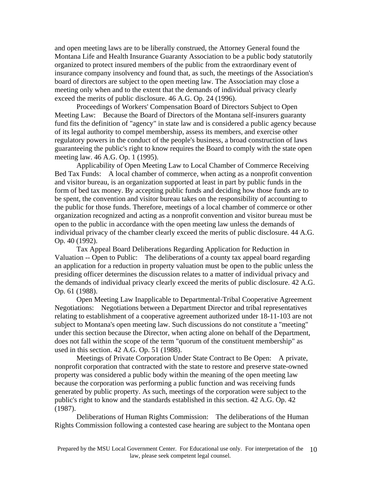and open meeting laws are to be liberally construed, the Attorney General found the Montana Life and Health Insurance Guaranty Association to be a public body statutorily organized to protect insured members of the public from the extraordinary event of insurance company insolvency and found that, as such, the meetings of the Association's board of directors are subject to the open meeting law. The Association may close a meeting only when and to the extent that the demands of individual privacy clearly exceed the merits of public disclosure. 46 A.G. Op. 24 (1996).

Proceedings of Workers' Compensation Board of Directors Subject to Open Meeting Law: Because the Board of Directors of the Montana self-insurers guaranty fund fits the definition of "agency" in state law and is considered a public agency because of its legal authority to compel membership, assess its members, and exercise other regulatory powers in the conduct of the people's business, a broad construction of laws guaranteeing the public's right to know requires the Board to comply with the state open meeting law. 46 A.G. Op. 1 (1995).

Applicability of Open Meeting Law to Local Chamber of Commerce Receiving Bed Tax Funds: A local chamber of commerce, when acting as a nonprofit convention and visitor bureau, is an organization supported at least in part by public funds in the form of bed tax money. By accepting public funds and deciding how those funds are to be spent, the convention and visitor bureau takes on the responsibility of accounting to the public for those funds. Therefore, meetings of a local chamber of commerce or other organization recognized and acting as a nonprofit convention and visitor bureau must be open to the public in accordance with the open meeting law unless the demands of individual privacy of the chamber clearly exceed the merits of public disclosure. 44 A.G. Op. 40 (1992).

Tax Appeal Board Deliberations Regarding Application for Reduction in Valuation -- Open to Public: The deliberations of a county tax appeal board regarding an application for a reduction in property valuation must be open to the public unless the presiding officer determines the discussion relates to a matter of individual privacy and the demands of individual privacy clearly exceed the merits of public disclosure. 42 A.G. Op. 61 (1988).

Open Meeting Law Inapplicable to Departmental-Tribal Cooperative Agreement Negotiations: Negotiations between a Department Director and tribal representatives relating to establishment of a cooperative agreement authorized under 18-11-103 are not subject to Montana's open meeting law. Such discussions do not constitute a "meeting" under this section because the Director, when acting alone on behalf of the Department, does not fall within the scope of the term "quorum of the constituent membership" as used in this section. 42 A.G. Op. 51 (1988).

Meetings of Private Corporation Under State Contract to Be Open: A private, nonprofit corporation that contracted with the state to restore and preserve state-owned property was considered a public body within the meaning of the open meeting law because the corporation was performing a public function and was receiving funds generated by public property. As such, meetings of the corporation were subject to the public's right to know and the standards established in this section. 42 A.G. Op. 42 (1987).

Deliberations of Human Rights Commission: The deliberations of the Human Rights Commission following a contested case hearing are subject to the Montana open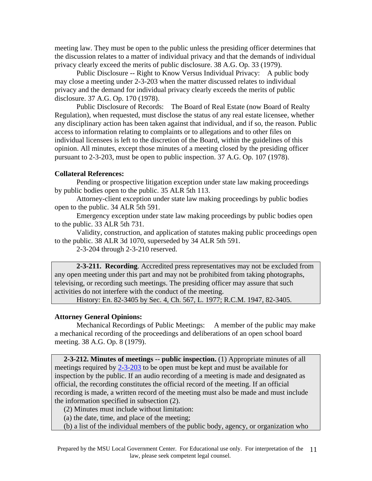meeting law. They must be open to the public unless the presiding officer determines that the discussion relates to a matter of individual privacy and that the demands of individual privacy clearly exceed the merits of public disclosure. 38 A.G. Op. 33 (1979).

Public Disclosure -- Right to Know Versus Individual Privacy: A public body may close a meeting under 2-3-203 when the matter discussed relates to individual privacy and the demand for individual privacy clearly exceeds the merits of public disclosure. 37 A.G. Op. 170 (1978).

Public Disclosure of Records: The Board of Real Estate (now Board of Realty Regulation), when requested, must disclose the status of any real estate licensee, whether any disciplinary action has been taken against that individual, and if so, the reason. Public access to information relating to complaints or to allegations and to other files on individual licensees is left to the discretion of the Board, within the guidelines of this opinion. All minutes, except those minutes of a meeting closed by the presiding officer pursuant to 2-3-203, must be open to public inspection. 37 A.G. Op. 107 (1978).

### **Collateral References:**

Pending or prospective litigation exception under state law making proceedings by public bodies open to the public. 35 ALR 5th 113.

Attorney-client exception under state law making proceedings by public bodies open to the public. 34 ALR 5th 591.

Emergency exception under state law making proceedings by public bodies open to the public. 33 ALR 5th 731.

Validity, construction, and application of statutes making public proceedings open to the public. 38 ALR 3d 1070, superseded by 34 ALR 5th 591.

2-3-204 through 2-3-210 reserved.

**2-3-211. Recording**. Accredited press representatives may not be excluded from any open meeting under this part and may not be prohibited from taking photographs, televising, or recording such meetings. The presiding officer may assure that such activities do not interfere with the conduct of the meeting.

History: En. 82-3405 by Sec. 4, Ch. 567, L. 1977; R.C.M. 1947, 82-3405.

### **Attorney General Opinions:**

Mechanical Recordings of Public Meetings: A member of the public may make a mechanical recording of the proceedings and deliberations of an open school board meeting. 38 A.G. Op. 8 (1979).

 **2-3-212. Minutes of meetings -- public inspection.** (1) Appropriate minutes of all meetings required by  $2-3-203$  to be open must be kept and must be available for inspection by the public. If an audio recording of a meeting is made and designated as official, the recording constitutes the official record of the meeting. If an official recording is made, a written record of the meeting must also be made and must include the information specified in subsection (2).

(2) Minutes must include without limitation:

(a) the date, time, and place of the meeting;

(b) a list of the individual members of the public body, agency, or organization who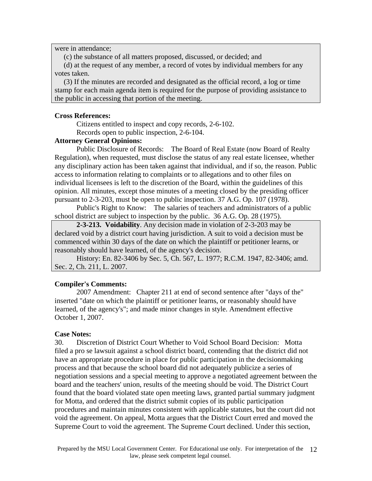were in attendance;

(c) the substance of all matters proposed, discussed, or decided; and

 (d) at the request of any member, a record of votes by individual members for any votes taken.

 (3) If the minutes are recorded and designated as the official record, a log or time stamp for each main agenda item is required for the purpose of providing assistance to the public in accessing that portion of the meeting.

### **Cross References:**

Citizens entitled to inspect and copy records, 2-6-102.

Records open to public inspection, 2-6-104.

### **Attorney General Opinions:**

Public Disclosure of Records: The Board of Real Estate (now Board of Realty Regulation), when requested, must disclose the status of any real estate licensee, whether any disciplinary action has been taken against that individual, and if so, the reason. Public access to information relating to complaints or to allegations and to other files on individual licensees is left to the discretion of the Board, within the guidelines of this opinion. All minutes, except those minutes of a meeting closed by the presiding officer pursuant to 2-3-203, must be open to public inspection. 37 A.G. Op. 107 (1978).

Public's Right to Know: The salaries of teachers and administrators of a public school district are subject to inspection by the public. 36 A.G. Op. 28 (1975).

**2-3-213. Voidability**. Any decision made in violation of 2-3-203 may be declared void by a district court having jurisdiction. A suit to void a decision must be commenced within 30 days of the date on which the plaintiff or petitioner learns, or reasonably should have learned, of the agency's decision.

History: En. 82-3406 by Sec. 5, Ch. 567, L. 1977; R.C.M. 1947, 82-3406; amd. Sec. 2, Ch. 211, L. 2007.

### **Compiler's Comments:**

2007 Amendment: Chapter 211 at end of second sentence after "days of the" inserted "date on which the plaintiff or petitioner learns, or reasonably should have learned, of the agency's"; and made minor changes in style. Amendment effective October 1, 2007.

### **Case Notes:**

30. Discretion of District Court Whether to Void School Board Decision: Motta filed a pro se lawsuit against a school district board, contending that the district did not have an appropriate procedure in place for public participation in the decisionmaking process and that because the school board did not adequately publicize a series of negotiation sessions and a special meeting to approve a negotiated agreement between the board and the teachers' union, results of the meeting should be void. The District Court found that the board violated state open meeting laws, granted partial summary judgment for Motta, and ordered that the district submit copies of its public participation procedures and maintain minutes consistent with applicable statutes, but the court did not void the agreement. On appeal, Motta argues that the District Court erred and moved the Supreme Court to void the agreement. The Supreme Court declined. Under this section,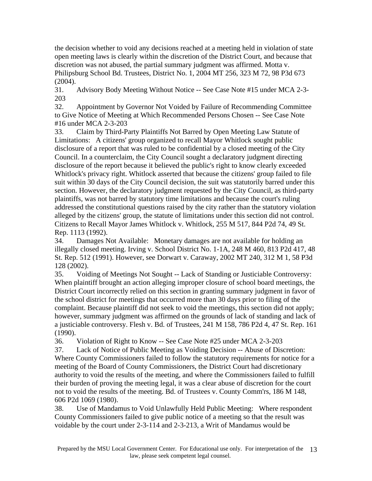the decision whether to void any decisions reached at a meeting held in violation of state open meeting laws is clearly within the discretion of the District Court, and because that discretion was not abused, the partial summary judgment was affirmed. Motta v. Philipsburg School Bd. Trustees, District No. 1, 2004 MT 256, 323 M 72, 98 P3d 673 (2004).

31. Advisory Body Meeting Without Notice -- See Case Note #15 under MCA 2-3- 203

32. Appointment by Governor Not Voided by Failure of Recommending Committee to Give Notice of Meeting at Which Recommended Persons Chosen -- See Case Note #16 under MCA 2-3-203

33. Claim by Third-Party Plaintiffs Not Barred by Open Meeting Law Statute of Limitations: A citizens' group organized to recall Mayor Whitlock sought public disclosure of a report that was ruled to be confidential by a closed meeting of the City Council. In a counterclaim, the City Council sought a declaratory judgment directing disclosure of the report because it believed the public's right to know clearly exceeded Whitlock's privacy right. Whitlock asserted that because the citizens' group failed to file suit within 30 days of the City Council decision, the suit was statutorily barred under this section. However, the declaratory judgment requested by the City Council, as third-party plaintiffs, was not barred by statutory time limitations and because the court's ruling addressed the constitutional questions raised by the city rather than the statutory violation alleged by the citizens' group, the statute of limitations under this section did not control. Citizens to Recall Mayor James Whitlock v. Whitlock, 255 M 517, 844 P2d 74, 49 St. Rep. 1113 (1992).

34. Damages Not Available: Monetary damages are not available for holding an illegally closed meeting. Irving v. School District No. 1-1A, 248 M 460, 813 P2d 417, 48 St. Rep. 512 (1991). However, see Dorwart v. Caraway, 2002 MT 240, 312 M 1, 58 P3d 128 (2002).

35. Voiding of Meetings Not Sought -- Lack of Standing or Justiciable Controversy: When plaintiff brought an action alleging improper closure of school board meetings, the District Court incorrectly relied on this section in granting summary judgment in favor of the school district for meetings that occurred more than 30 days prior to filing of the complaint. Because plaintiff did not seek to void the meetings, this section did not apply; however, summary judgment was affirmed on the grounds of lack of standing and lack of a justiciable controversy. Flesh v. Bd. of Trustees, 241 M 158, 786 P2d 4, 47 St. Rep. 161 (1990).

36. Violation of Right to Know -- See Case Note #25 under MCA 2-3-203

37. Lack of Notice of Public Meeting as Voiding Decision -- Abuse of Discretion: Where County Commissioners failed to follow the statutory requirements for notice for a meeting of the Board of County Commissioners, the District Court had discretionary authority to void the results of the meeting, and where the Commissioners failed to fulfill their burden of proving the meeting legal, it was a clear abuse of discretion for the court not to void the results of the meeting. Bd. of Trustees v. County Comm'rs, 186 M 148, 606 P2d 1069 (1980).

38. Use of Mandamus to Void Unlawfully Held Public Meeting: Where respondent County Commissioners failed to give public notice of a meeting so that the result was voidable by the court under 2-3-114 and 2-3-213, a Writ of Mandamus would be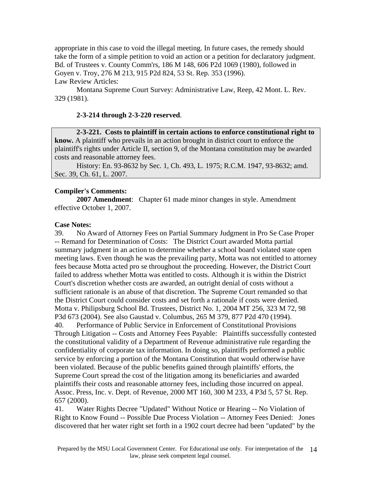appropriate in this case to void the illegal meeting. In future cases, the remedy should take the form of a simple petition to void an action or a petition for declaratory judgment. Bd. of Trustees v. County Comm'rs, 186 M 148, 606 P2d 1069 (1980), followed in Goyen v. Troy, 276 M 213, 915 P2d 824, 53 St. Rep. 353 (1996). Law Review Articles:

Montana Supreme Court Survey: Administrative Law, Reep, 42 Mont. L. Rev. 329 (1981).

### **2-3-214 through 2-3-220 reserved**.

**2-3-221. Costs to plaintiff in certain actions to enforce constitutional right to know.** A plaintiff who prevails in an action brought in district court to enforce the plaintiff's rights under Article II, section 9, of the Montana constitution may be awarded costs and reasonable attorney fees.

History: En. 93-8632 by Sec. 1, Ch. 493, L. 1975; R.C.M. 1947, 93-8632; amd. Sec. 39, Ch. 61, L. 2007.

#### **Compiler's Comments:**

**2007 Amendment**: Chapter 61 made minor changes in style. Amendment effective October 1, 2007.

#### **Case Notes:**

39. No Award of Attorney Fees on Partial Summary Judgment in Pro Se Case Proper -- Remand for Determination of Costs: The District Court awarded Motta partial summary judgment in an action to determine whether a school board violated state open meeting laws. Even though he was the prevailing party, Motta was not entitled to attorney fees because Motta acted pro se throughout the proceeding. However, the District Court failed to address whether Motta was entitled to costs. Although it is within the District Court's discretion whether costs are awarded, an outright denial of costs without a sufficient rationale is an abuse of that discretion. The Supreme Court remanded so that the District Court could consider costs and set forth a rationale if costs were denied. Motta v. Philipsburg School Bd. Trustees, District No. 1, 2004 MT 256, 323 M 72, 98 P3d 673 (2004). See also Gaustad v. Columbus, 265 M 379, 877 P2d 470 (1994). 40. Performance of Public Service in Enforcement of Constitutional Provisions Through Litigation -- Costs and Attorney Fees Payable: Plaintiffs successfully contested the constitutional validity of a Department of Revenue administrative rule regarding the confidentiality of corporate tax information. In doing so, plaintiffs performed a public service by enforcing a portion of the Montana Constitution that would otherwise have been violated. Because of the public benefits gained through plaintiffs' efforts, the Supreme Court spread the cost of the litigation among its beneficiaries and awarded plaintiffs their costs and reasonable attorney fees, including those incurred on appeal. Assoc. Press, Inc. v. Dept. of Revenue, 2000 MT 160, 300 M 233, 4 P3d 5, 57 St. Rep. 657 (2000).

41. Water Rights Decree "Updated" Without Notice or Hearing -- No Violation of Right to Know Found -- Possible Due Process Violation -- Attorney Fees Denied: Jones discovered that her water right set forth in a 1902 court decree had been "updated" by the